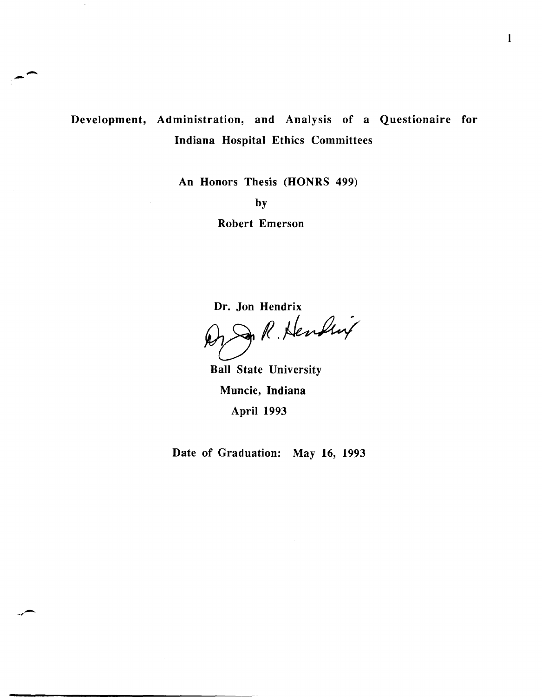# Development, Administration, and Analysis of a Questionaire for Indiana Hospital Ethics Committees

--

An Honors Thesis (HONRS 499)

by

Robert Emerson

Dr. Jon Hendrix Son R. Hending

Ball State University Muncie, Indiana April 1993

Date of Graduation: May 16, 1993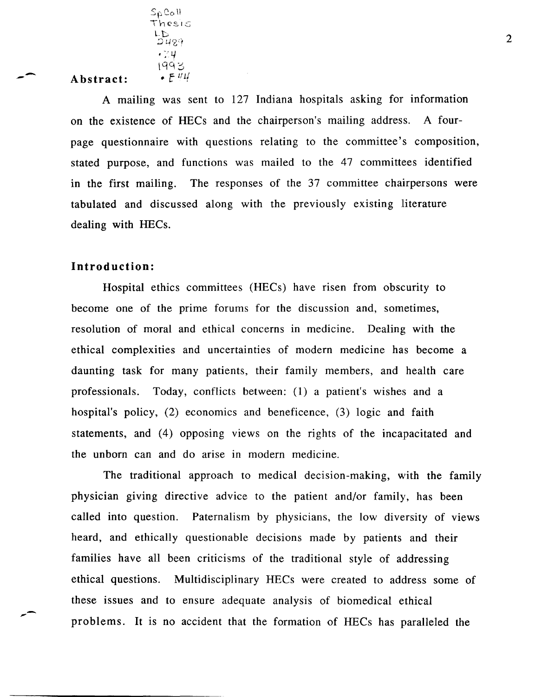**Abstract:**  -D<br>2429 • :' 11  $\Box$ *• E* IILI

 $2^b$  Ge  $\mu$  . Thesis

--

,...-

A mailing was sent to 127 Indiana hospitals asking for information on the existence of HECs and the chairperson's mailing address. A fourpage questionnaire with questions relating to the committee's composition, stated purpose, and functions was mailed to the 47 committees identified in the first mailing. The responses of the 37 committee chairpersons were tabulated and discussed along with the previously existing literature dealing with HECs.

## **Introd uction:**

Hospital ethics committees (HECs) have risen from obscurity to become one of the prime forums for the discussion and, sometimes, resolution of moral and ethical concerns in medicine. Dealing with the ethical complexities and uncertainties of modern medicine has become a daunting task for many patients, their family members, and health care professionals. Today, conflicts between: (1) a patient's wishes and a hospital's policy, (2) economics and beneficence, (3) logic and faith statements, and (4) opposing views on the rights of the incapacitated and the unborn can and do arise in modern medicine.

The traditional approach to medical decision-making, with the family physician giving directive advice to the patient and/or family, has been called into question. Paternalism by physicians, the low diversity of views heard, and ethically questionable decisions made by patients and their families have all been criticisms of the traditional style of addressing ethical questions. Multidisciplinary HECs were created to address some of these issues and to ensure adequate analysis of biomedical ethical problems. It is no accident that the formation of HECs has paralleled the

 $\mathfrak{D}$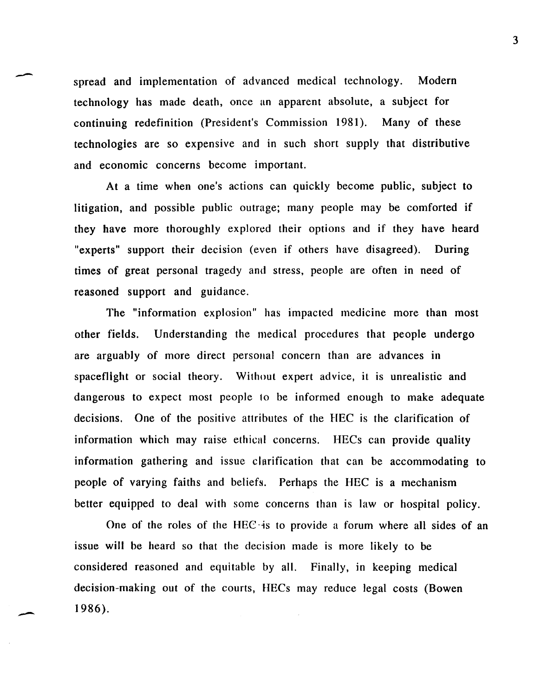spread and implementation of advanced medical technology. Modern technology has made death, once un apparent absolute, a subject for continuing redefinition (President's Commission 1981). Many of these technologies are so expensive and in such short supply that distributive and economic concerns become important.

At a time when one's actions can quickly become public, subject to litigation, and possible public outrage; many people may be comforted if they have more thoroughly explored their options and if they have heard "experts" support their decision (even if others have disagreed). During times of great personal tragedy and stress, people are often in need of reasoned support and guidance.

The "information explosion" has impacted medicine more than most other fields. Understanding the medical procedures that people undergo are arguably of more direct personal concern than are advances in spaceflight or social theory. Without expert advice, it is unrealistic and dangerous to expect most people 10 be informed enough to make adequate decisions. One of the positive attributes of the HEC is the clarification of information which may raise ethical concerns. HECs can provide quality information gathering and issue clarification that can be accommodating to people of varying faiths and beliefs. Perhaps the BEC is a mechanism better equipped to deal with some concerns than is law or hospital policy.

One of the roles of the HEC -is to provide a forum where all sides of an issue will be heard so that the decision made is more likely to be considered reasoned and equitable by all. Finally, in keeping medical decision-making out of the courts, HECs may reduce legal costs (Bowen 1986 ).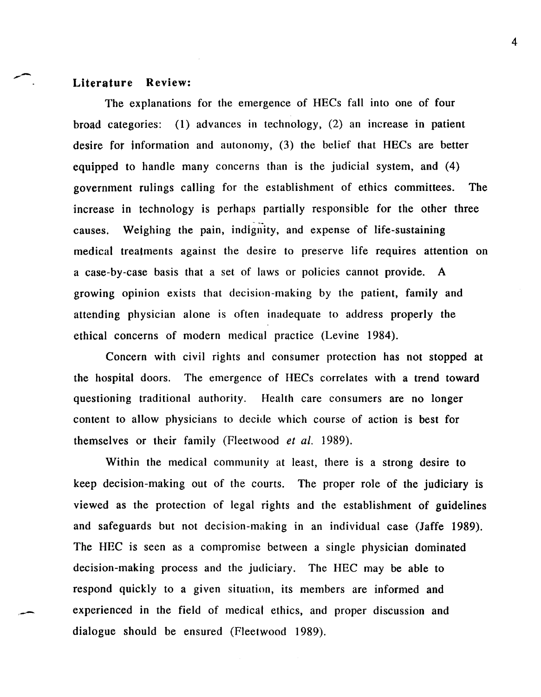## Literature Review:

The explanations for the emergence of HECs fall into one of four broad categories: (1) advances in technology, (2) an increase in patient desire fot information and autonomy, (3) the belief that HECs are better equipped to handle many concerns than is the judicial system, and (4) government rulings calling for the establishment of ethics committees. The increase in technology is perhaps partially responsible for the other three causes. Weighing the pain, indignity, and expense of life-sustaining medical treatments against the desire to preserve life requires attention on a case-by-case basis that a set of laws or policies cannot provide. A growing opinion exists that decision-making by the patient, family and attending physician alone is often inadequate to address properly the ethical concerns of modern medical practice (Levine 1984).

Concern with civil rights and consumer protection has not stopped at the hospital doors. The emergence of HECs correlates with a trend toward questioning traditional authority. Health care consumers are no longer content to allow physicians to decide which course of action is best for themselves or their family (Fleetwood *et al. 1989).* 

Within the medical community at least, there is a strong desire to keep decision-making out of the courts. The proper role of the judiciary is viewed as the protection of legal rights and the establishment of guidelines and safeguards but not decision-making in an individual case (Jaffe 1989). The HEC is seen as a compromise between a single physician dominated decision-making process and the judiciary. The HEC may be able to respond quickly to a given situation, its members are informed and experienced in the field of medical ethics, and proper discussion and dialogue should be ensured (Fleetwood 1989).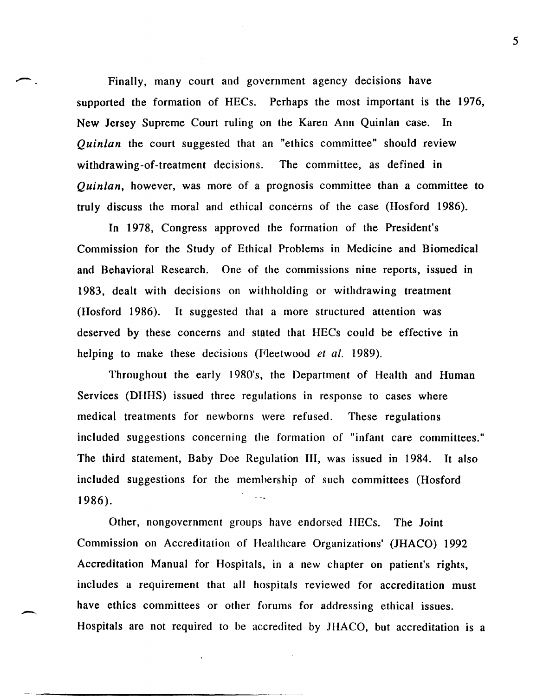Finally, many court and government agency decisions have supported the formation of HECs. Perhaps the most important is the 1976, New Jersey Supreme Court ruling on the Karen Ann Quinlan case. In *Quinlan* the court suggested that an "ethics committee" should review withdrawing-of-treatment decisions. The committee, as defined in *Quinlan,* however, was more of a prognosis committee than a committee to truly discuss the moral and ethical concerns of the case (Hosford 1986).

In 1978, Congress approved the formation of the President's Commission for the Study of Ethical Problems in Medicine and Biomedical and Behavioral Research. One of the commissions nine reports, issued in 1983, dealt with decisions on withholding or withdrawing treatment (Hosford 1986). It suggested that a more structured attention was deserved by these concerns and stated that HECs could be effective in helping to make these decisions (Fleetwood *et al. 1989).* 

Throughout the early 1980's, the Department of Health and Human Services (DHHS) issued three regulations in response to cases where medical treatments for newborns were refused. These regulations included suggestions concerning the formation of "infant care committees." The third statement, Baby Doe Regulation III, was issued in 1984. It also included suggestions for the memhership of such committees (Hosford 1986).

Other, nongovernment groups have endorsed HECs. The Joint Commission on Accreditation of Hcalthcare Organizations' (JHACO) 1992 Accreditation Manual for Hospitals, in a new chapter on patient's rights, includes a requirement that all hospitals reviewed for accreditation must have ethics committees or other forums for addressing ethical issues. Hospitals are not required to be accredited by JHACO, but accreditation is a

-.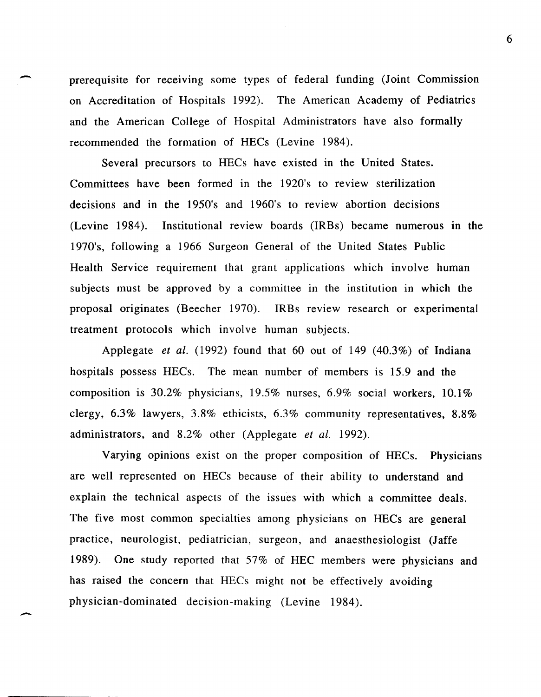prerequisite for receiving some types of federal funding (Joint Commission on Accreditation of Hospitals 1992). The American Academy of Pediatrics and the American College of Hospital Administrators have also formally recommended the formation of HECs (Levine 1984).

-

-

Several precursors to HECs have existed in the United States. Committees have been formed in the 1920's to review sterilization decisions and in the 1950's and 1960's to review abortion decisions (Levine 1984). Institutional review boards (IRBs) became numerous in the 1970's, following a 1966 Surgeon General of the United States Public Health Service requirement that grant applications which involve human subjects must be approved by a committee in the institution in which the proposal originates (Beecher 1970). IRBs review research or experimental treatment protocols which involve human subjects.

Applegate *et al.* (1992) found that 60 out of 149 (40.3%) of Indiana hospitals possess HECs. The mean number of members is 15.9 and the composition is 30.2% physicians, 19.5% nurses,  $6.9\%$  social workers,  $10.1\%$ clergy, 6.3% lawyers, 3.8% ethicists, 6.3% community representatives, 8.8% administrators, and 8.2% other (Applegate *et ai. 1992).* 

Varying opinions exist on the proper composition of HECs. Physicians are well represented on HECs because of their ability to understand and explain the technical aspects of the issues with which a committee deals. The five most common specialties among physicians on HECs are general practice, neurologist, pediatrician, surgeon, and anaesthesiologist (Jaffe 1989). One study reported that 57% of HEC members were physicians and has raised the concern that HECs might not be effectively avoiding physician-dominated decision-making (Levine 1984).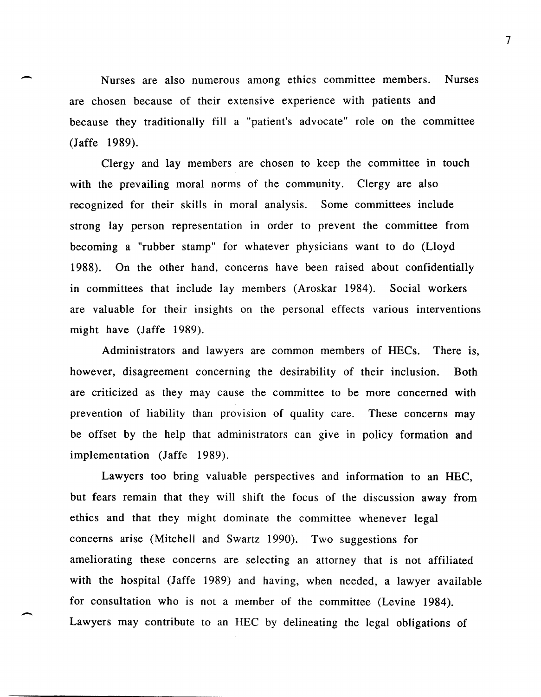Nurses are also numerous among ethics committee members. Nurses are chosen because of their extensive experience with patients and because they traditionally fill a "patient's advocate" role on the committee (Jaffe 1989).

-

-

Clergy and lay members are chosen to keep the committee in touch with the prevailing moral norms of the community. Clergy are also recognized for their skills in moral analysis. Some committees include strong lay person representation in order to prevent the committee from becoming a "rubber stamp" for whatever physicians want to do (Lloyd 1988). On the other hand, concerns have been raised about confidentially in committees that include lay members (Aroskar 1984). Social workers are valuable for their insights on the personal effects various interventions might have (Jaffe 1989).

Administrators and lawyers are common members of HECs. There is, however, disagreement concerning the desirability of their inclusion. Both are criticized as they may cause the committee to be more concerned with prevention of liability than provision of quality care. These concerns may be offset by the help that administrators can give in policy formation and implementation (Jaffe 1989).

Lawyers too bring valuable perspectives and information to an HEC, but fears remain that they will shift the focus of the discussion away from ethics and that they might dominate the committee whenever legal concerns arise (Mitchell and Swartz 1990). Two suggestions for ameliorating these concerns are selecting an attorney that is not affiliated with the hospital (Jaffe 1989) and having, when needed, a lawyer available for consultation who is not a member of the committee (Levine 1984). Lawyers may contribute to an HEC by delineating the legal obligations of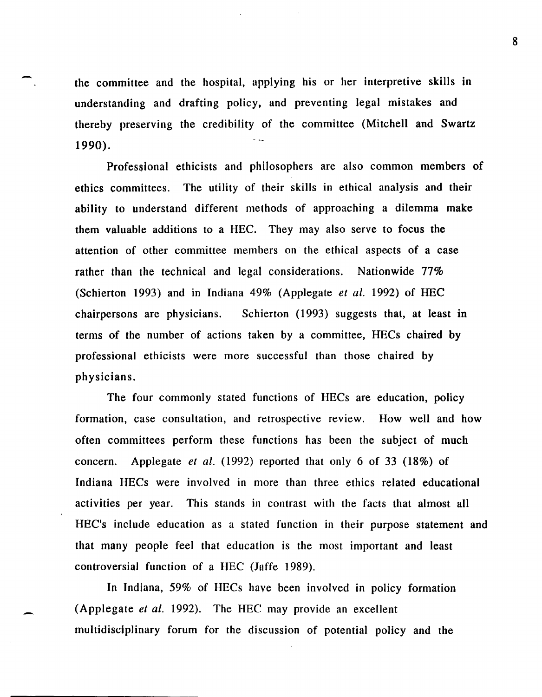the committee and the hospital, applying his or her interpretive skills in understanding and drafting policy, and preventing legal mistakes and thereby preserving the credibility of the committee (Mitchell and Swartz 1990).

-

-

Professional ethicists and philosophers are also common members of ethics committees. The utility of their skills in ethical analysis and their ability to understand different methods of approaching a dilemma make them valuable additions to a HEC. They may also serve to focus the attention of other committee members on the ethical aspects of a case rather than the technical and legal considerations. Nationwide 77% (Schierton 1993) and in Indiana 49% (Applegate *et al.* 1992) of HEC chairpersons are physicians. Schierton (1993) suggests that, at least in terms of the number of actions taken by a committee, HECs chaired by professional ethicists were more successful than those chaired by physicians.

The four commonly stated functions of HECs are education, policy formation, case consultation, and retrospective review. How well and how often committees perform these functions has been the subject of much concern. Applegate *et al.* (1992) reported that only 6 of 33 (18%) of Indiana HECs were involved in more than three ethics related educational activities per year. This stands in contrast with the facts that almost all HEC's include education as a stated function in their purpose statement and that many people feel that education is the most important and least controversial function of a HEC (Jaffe 1989).

In Indiana, 59% of HECs have been involved in policy formation (Applegate *et al.* 1992), The BEC may provide an excellent multidiscipJinary forum for the discussion of potential policy and the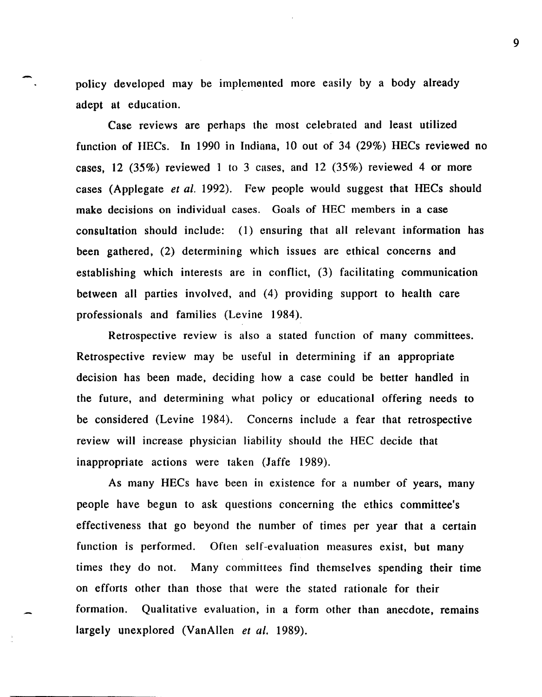policy developed may be implemented more easily by a body already adept at education.

Case reviews are perhaps the most celebrated and least utilized function of BECs. In 1990 in Indiana, 10 out of 34 (29%) HECs reviewed no cases, 12 (35%) reviewed 1 to 3 cases, and 12 (35%) reviewed 4 or more cases (Applegate *et al.* 1992). Few people would suggest that HECs should make decisions on individual cases. Goals of HEC members in a case consultation should include: (1) ensuring that all relevant information has been gathered, (2) determining which issues are ethical concerns and establishing which interests are in conflict, (3) facilitating communication between all parties involved, and (4) providing support to health care professionals and families (Levine 1984).

Retrospective review is also a stated function of many committees. Retrospective review may be useful in determining if an appropriate decision has been made, deciding how a case could be better handled in the future, and determining what policy or educational offering needs to be considered (Levine 1984). Concerns include a fear that retrospective review will increase physician liability should the HEC decide that inappropriate actions were taken (Jaffe 1989).

As many HECs have been in existence for a number of years, many people have begun to ask questions concerning the ethics committee's effectiveness that go beyond the number of times per year that a certain function is performed. Often se1f-evaluation measures exist, but many times they do not. Many committees find themselves spending their time on efforts other than those that were the stated rationale for their formation. Qualitative evaluation, in a form other than anecdote, remains largely unexplored (VanAllen *et al. 1989).*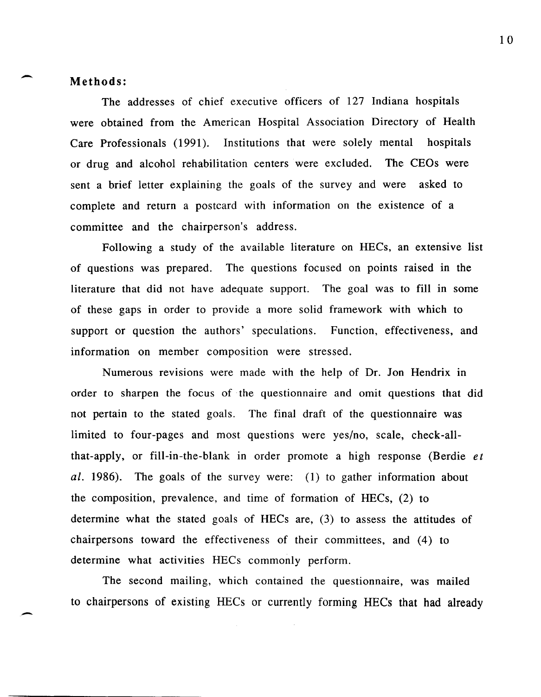## **Methods:**

-

,-

The addresses of chief executive officers of 127 Indiana hospitals were obtained from the American Hospital Association Directory of Health Care Professionals (1991). Institutions that were solely mental hospitals or drug and alcohol rehabilitation centers were excluded. The CEOs were sent a brief letter explaining the goals of the survey and were asked to complete and return a postcard with information on the existence of a committee and the chairperson's address.

Following a study of the available literature on HECs, an extensive list of questions was prepared. The questions focused on points raised in the literature that did not have adequate support. The goal was to fill in some of these gaps in order to provide a more solid framework with which to support or question the authors' speculations. Function, effectiveness, and information on member composition were stressed.

Numerous revisions were made with the help of Dr. Jon Hendrix in order to sharpen the focus of the questionnaire and omit questions that did not pertain to the stated goals. The final draft of the questionnaire was limited to four-pages and most questions were yes/no, scale, check-allthat-apply, or fill-in-the-blank in order promote a high response (Berdie *et*  al. 1986). The goals of the survey were: (1) to gather information about the composition, prevalence, and time of formation of HECs, (2) to determine what the stated goals of HECs are, (3) to assess the attitudes of chairpersons toward the effectiveness of their committees, and (4) to determine what activities HECs commonly perform.

The second mailing, which contained the questionnaire, was mailed to chairpersons of existing HECs or currently forming HECs that had already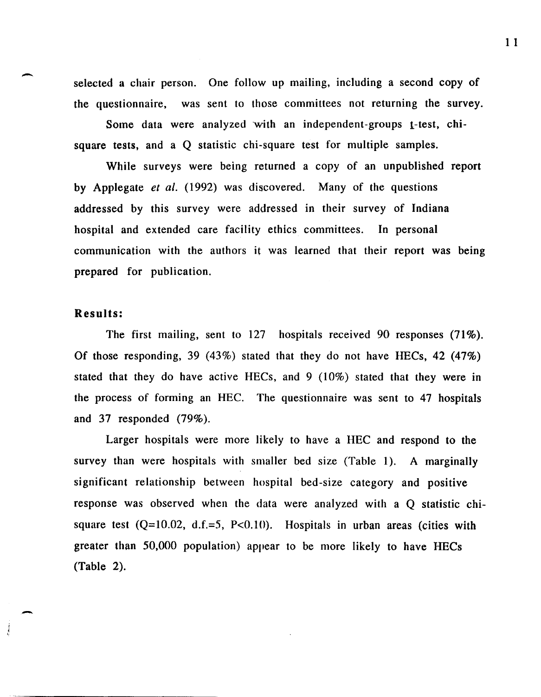selected a chair person. One follow up mailing, including a second copy of the questionnaire, was sent to those committees not returning the survey.

Some data were analyzed with an independent-groups t-test, chisquare tests, and a Q statistic chi-square test for multiple samples.

While surveys were being returned a copy of an unpublished report by Applegate *et al.* (1992) was discovered. Many of the questions addressed by this survey were addressed in their survey of Indiana hospital and extended care facility ethics committees. In personal communication with the authors it was learned that their report was being prepared for publication.

## Results:

-

-, i

The first mailing, sent to 127 hospitals received 90 responses (71%). Of those responding, 39 (43%) stated that they do not have HECs, 42 (47%) stated that they do have active HECs, and  $9(10\%)$  stated that they were in the process of forming an HEC. The questionnaire was sent to 47 hospitals and 37 responded (79%).

Larger hospitals were more likely to have a HEC and respond to the survey than were hospitals with smaller bed size (Table 1). A marginally significant relationship between hospital bed-size category and positive response was observed when the data were analyzed with a Q statistic chisquare test  $(Q=10.02, d.f.=5, P<0.10)$ . Hospitals in urban areas (cities with greater than 50,000 population) appear to be more likely to have HECs (Table 2).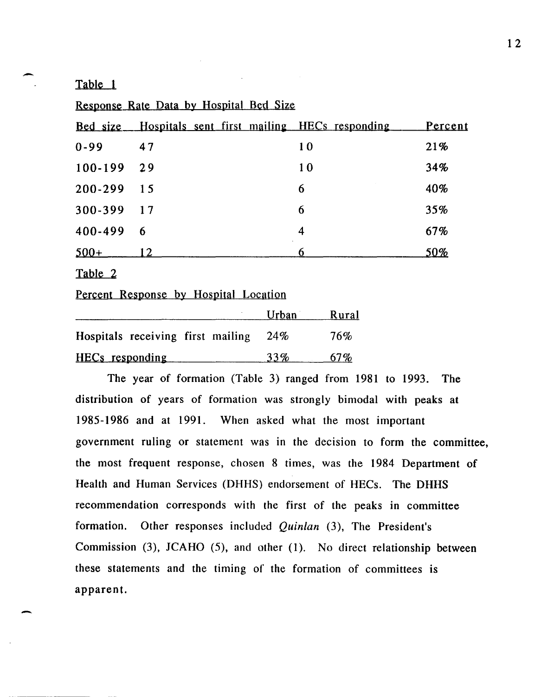Table 1

-

-

Response Rate Data by Hospital Bed Size

|          | Bed size Hospitals sent first mailing HECs responding |    | <u>Percent</u> |
|----------|-------------------------------------------------------|----|----------------|
| $0 - 99$ | 47                                                    | 10 | 21%            |
| 100-199  | 29                                                    | 10 | 34%            |
| 200-299  | 15                                                    | 6  | 40%            |
| 300-399  | $\overline{17}$                                       | 6  | 35%            |
| 400-499  | 6                                                     | 4  | 67%            |
| $500+$   |                                                       | 6  | 50%            |

Table 2

Percent Response by Hospital Locution

|                                   | Urban | Rural |
|-----------------------------------|-------|-------|
| Hospitals receiving first mailing | 24%   | 76%   |
| HECs responding                   | 33%   | 67%   |

The year of formation (Table 3) ranged from 1981 to 1993. The distribution of years of formation was strongly bimodal with peaks at 1985-1986 and at 1991. When asked what the most important government ruling or statement was in the decision to form the committee, the most frequent response, chosen 8 times, was the 1984 Department of Health and Human Services (DHHS) endorsement of HECs. The DHHS recommendation corresponds with the first of the peaks in committee formation. Other responses included *Quinlan* (3), The President's Commission (3), JCAHO (5), and other (1). No direct relationship between these statements and the timing of the formation of committees is apparent.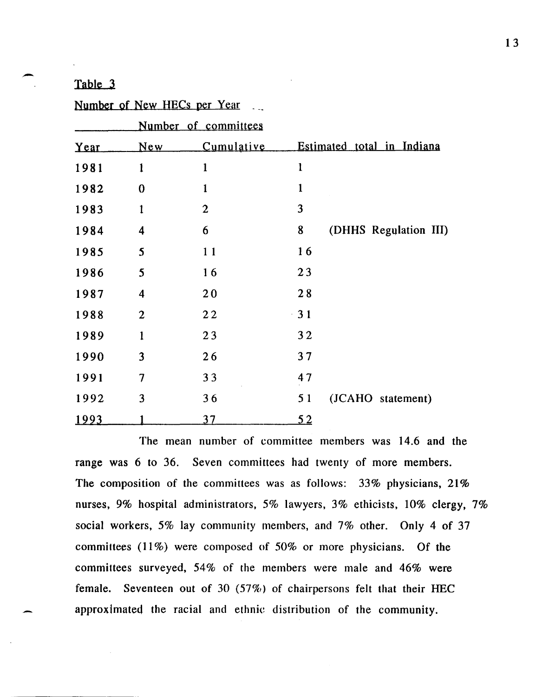Table 3

Number of New HECs per Year

|      |                         | Number of committees |              |                            |
|------|-------------------------|----------------------|--------------|----------------------------|
| Year | New                     | <u>Cumulative</u>    |              | Estimated total in Indiana |
| 1981 | $\mathbf{1}$            | $\mathbf{1}$         | $\mathbf{1}$ |                            |
| 1982 | $\bf{0}$                | 1                    | $\mathbf{1}$ |                            |
| 1983 | $\mathbf{1}$            | $\overline{2}$       | 3            |                            |
| 1984 | $\overline{\mathbf{4}}$ | 6                    | 8            | (DHHS Regulation III)      |
| 1985 | 5                       | 11                   | 16           |                            |
| 1986 | 5                       | 16                   | 23           |                            |
| 1987 | $\overline{\mathbf{4}}$ | 20                   | 28           |                            |
| 1988 | $\overline{2}$          | 22                   | $-31$        |                            |
| 1989 | $\mathbf{1}$            | 23                   | 32           |                            |
| 1990 | 3                       | 26                   | 37           |                            |
| 1991 | $\overline{7}$          | 33                   | 47           |                            |
| 1992 | 3                       | 36                   | 51           | (JCAHO statement)          |
| 1993 |                         | 37                   | <u>52</u>    |                            |

The mean number of committee members was 14.6 and the range was 6 to 36. Seven committees had twenty of more members. The composition of the committees was as follows: 33% physicians, 21% nurses, 9% hospital administrators, 5% lawyers, 3% ethicists, 10% clergy, 7% social workers, 5% lay community members, and 7% other. Only 4 of 37 committees (11%) were composed of 50% or more physicians. Of the committees surveyed, 54% of the members were male and 46% were female. Seventeen out of 30 (57%) of chairpersons felt that their HEC approximated the racial and ethnic distribution of the community.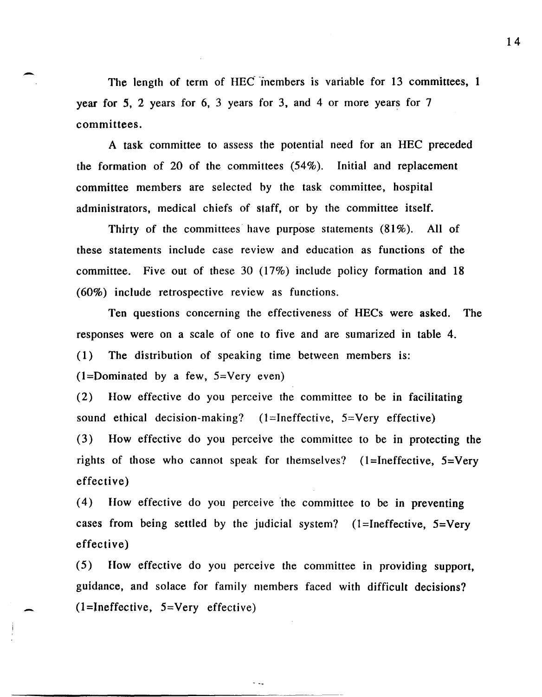The length of term of HEC members is variable for 13 committees, 1 year for S, 2 years for 6, 3 years for 3, and 4 or more years for 7 committees.

-

-

A task committee to assess the potential need for an HEC preceded the formation of 20 of the committees (54%). Initial and replacement committee members are selected hy the task committee, hospital administrators, medical chiefs of staff, or by the committee itself.

Thirty of the committees have purpose statements  $(81\%)$ . All of these statements include case review and education as functions of the committee. Five out of these 30 (17%) include policy formation and 18 (60%) include retrospective review as functions.

Ten questions concerning the effectiveness of HECs were asked. The responses were on a scale of one to five and are sumarized in table 4. (1) The distribution of speaking time between members is: (I=Dominated by a few, 5=Very even)

(2) How effective do you perceive the committee to be in facilitating sound ethical decision-making?  $(1 = \text{Ineffective}, 5 = \text{Very effective})$ 

(3) How effective do you perceive the committee to be in protecting the rights of those who cannot speak for themselves?  $(1 = \text{Ineffective}, 5 = \text{Very})$ effective)

 $(4)$  How effective do you perceive the committee to be in preventing cases from being settled by the judicial system? (1=Ineffective,  $5=V$ ery effective)

 $(5)$  How effective do you perceive the committee in providing support, guidance, and solace for family members faced with difficult decisions? (1=lneffective, 5=Very effective)

 $\ddotsc$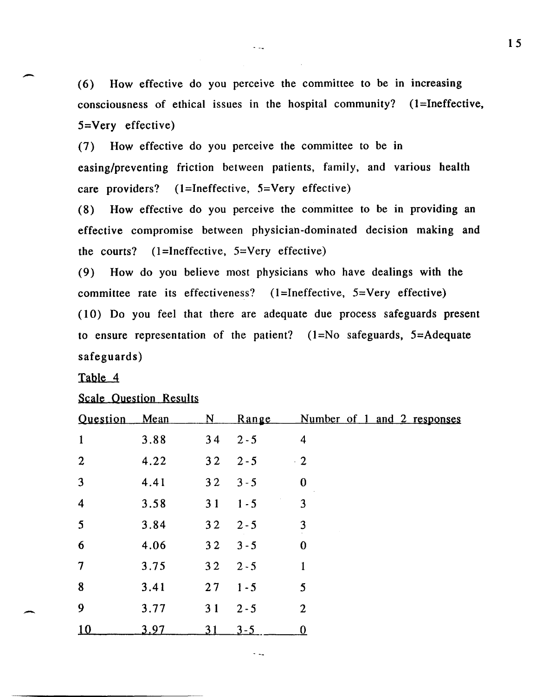(6) How effective do you perceive the committee to be in increasing consciousness of ethical issues in the hospital community?  $(1 = \text{Ineffective},$ 5=Very effective)

(7) How effective do you perceive the committee to be in easing/preventing friction between patients. family, and various health care providers? (1=Ineffective. 5=Very effective)

(8) How effective do you perceive the committee to be in providing an effective compromise between physician-dominated decision making and the courts? (1=Ineffective, 5=Very effective)

(9) How do you believe most physicians who have dealings with the committee rate its effectiveness? (1=Ineffective, 5=Very effective) (10) Do you feel that there are adequate due process safeguards present to ensure representation of the patient?  $(1=N_0)$  safeguards, 5=Adequate safeguards)

Table 4

 $\overline{\phantom{0}}$ 

.-

## Scale Question Results

| <b>Question</b>          | Mean | $N_{\cdot}$ | Range   | Number of 1 and 2 responses |
|--------------------------|------|-------------|---------|-----------------------------|
| $\mathbf{1}$             | 3.88 | 34          | $2 - 5$ | $\overline{\mathbf{4}}$     |
| $\overline{2}$           | 4.22 | 32          | $2 - 5$ | $\cdot$ 2                   |
| $\mathbf{3}$             | 4.41 | 32          | $3 - 5$ | $\bf{0}$                    |
| $\overline{4}$           | 3.58 | 31          | $1 - 5$ | 3                           |
| 5                        | 3.84 | 32          | $2 - 5$ | 3                           |
| 6                        | 4.06 | 32          | $3 - 5$ | $\bf{0}$                    |
| $\overline{\mathcal{I}}$ | 3.75 | 32          | $2 - 5$ | 1                           |
| 8                        | 3.41 | 27          | $1 - 5$ | 5                           |
| 9                        | 3.77 | 31          | $2 - 5$ | $\overline{2}$              |
| <u>10</u>                | 3.97 | 31          | $3 - 5$ | 0                           |

 $\sim$   $\sim$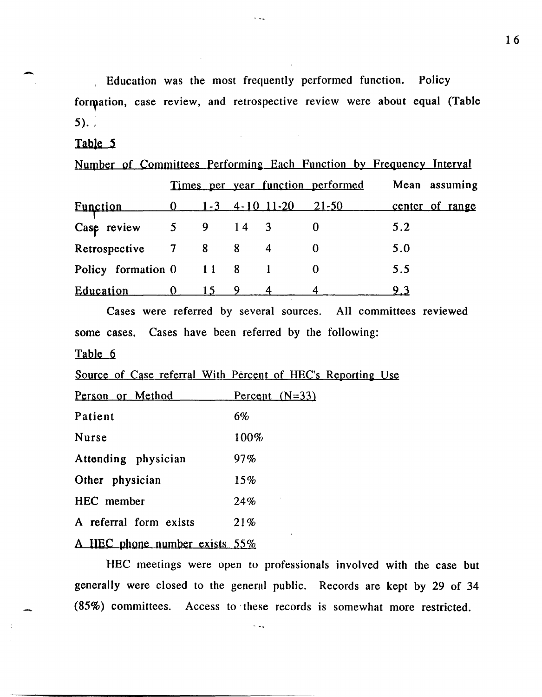Education was the most frequently performed function. Policy formation, case review, and retrospective review were about equal (Table  $(5)$ .

 $\sim$   $\sim$ 

## Table 5

Number of Committees Performing Each Function by Frequency Interval

|                    |   |      |    |                        | Times per year function performed | Mean assuming   |
|--------------------|---|------|----|------------------------|-----------------------------------|-----------------|
| <b>Function</b>    | O |      |    | $1 - 3$ 4 - 10 11 - 20 | $21 - 50$                         | center of range |
| Case review        |   | 9    | 14 |                        |                                   | 5.2             |
| Retrospective      | 7 | 8    | 8  |                        |                                   | 5.0             |
| Policy formation 0 |   | 11 8 |    |                        |                                   | 5.5             |
| Education          |   |      |    |                        |                                   | 9.3             |

Cases were referred by several sources. All committees reviewed some cases. Cases have been referred by the following:

Table 6

Source of Case referral With Percent of HEC's Reporting Use

| Person or Method               | Percent $(N=33)$ |
|--------------------------------|------------------|
| Patient                        | 6%               |
| <b>Nurse</b>                   | 100%             |
| Attending physician            | 97%              |
| Other physician                | 15%              |
| HEC member                     | 24%              |
| A referral form exists         | 21%              |
| HEC phone number exists $55\%$ |                  |

HEC meetings were open to professionals involved with the case but generally were closed to the general public. Records are kept by 29 of 34 (85%) committees. Access to· these records is somewhat more restricted.

 $\sim$   $\sim$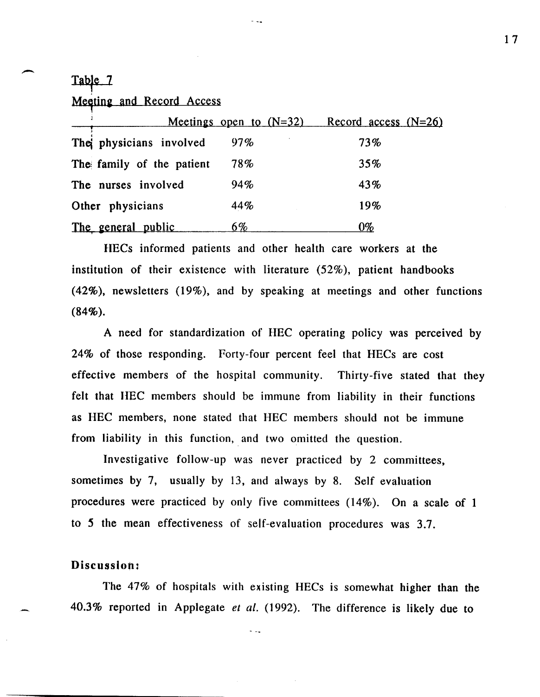## Table 7

Meeting and Record Access

|                           |     | Meetings open to $(N=32)$ Record access $(N=26)$ |
|---------------------------|-----|--------------------------------------------------|
| The physicians involved   | 97% | 73%                                              |
| The family of the patient | 78% | 35%                                              |
| The nurses involved       | 94% | 43%                                              |
| Other physicians          | 44% | 19%                                              |
| The general public        | 6%  | 0%                                               |

HECs informed patients and other health care workers at the institution of their existence with literature (52%), patient handbooks (42%), newsletters (19%), and by speaking at meetings and other functions (84%).

A need for standardization of HEC operating policy was perceived by 24% of those responding. Forty-four percent feel that HECs are cost effective members of the hospital community. Thirty-five stated that they felt that HEC members should be immune from liability in their functions as HEC members, none stated that HEC members should not be immune from liability in this function, and two omitted the question.

Investigative follow-up was never practiced by 2 committees, sometimes by 7, usually by 13, and always by 8. Self evaluation procedures were practiced by only five committees (14%). On a scale of 1 to 5 the mean effectiveness of self-evaluation procedures was 3.7.

#### Discussion:

The 47% of hospitals with existing HECs is somewhat higher than the 40.3% reported in Applegate *et al.* (1992). The difference is likely due to

 $\sim$   $\sim$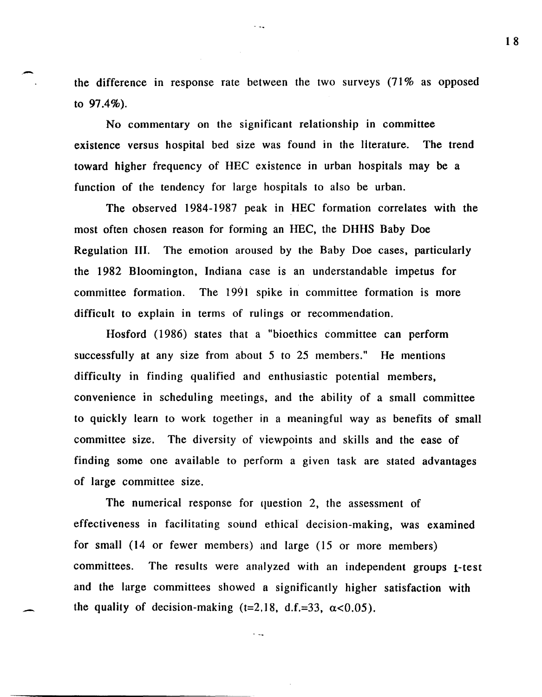the difference in response rate between the two surveys  $(71\%$  as opposed to 97.4%).

 $\sim$   $\sim$ 

No commentary on the significant relationship in committee existence versus hospital bed size was found in the literature. The trend toward higher frequency of HEC existence in urban hospitals may be a function of the tendency for large hospitals to also be urban.

The observed 1984-1987 peak in HEC formation correlates with the most often chosen reason for forming an HEC, the DHHS Baby Doe Regulation III. The emotion aroused by the Baby Doe cases, particularly the 1982 Bloomington, Indiana case is an understandable impetus for committee formation. The 1991 spike in committee formation is more difficult to explain in terms of rulings or recommendation.

Hosford (1986) states that a "bioethics committee can perform successfully at any size from about 5 to 25 members." He mentions difficulty in finding qualified and enthusiastic potential members, convenience in scheduling meetings, and the ability of a small committee to quickly learn to work together in a meaningful way as benefits of small committee size. The diversity of viewpoints and skills and the ease of finding some one available to perform a given task are stated advantages of large committee size.

The numerical response for question 2, the assessment of effectiveness in facilitating sound ethical decision-making, was examined for small (14 or fewer members) and large (15 or more members) committees. The results were analyzed with an independent groups t-test and the large committees showed a significantly higher satisfaction with the quality of decision-making  $(t=2.18, d.f.=33, \alpha<0.05)$ .

 $\sim$   $\sim$ 

-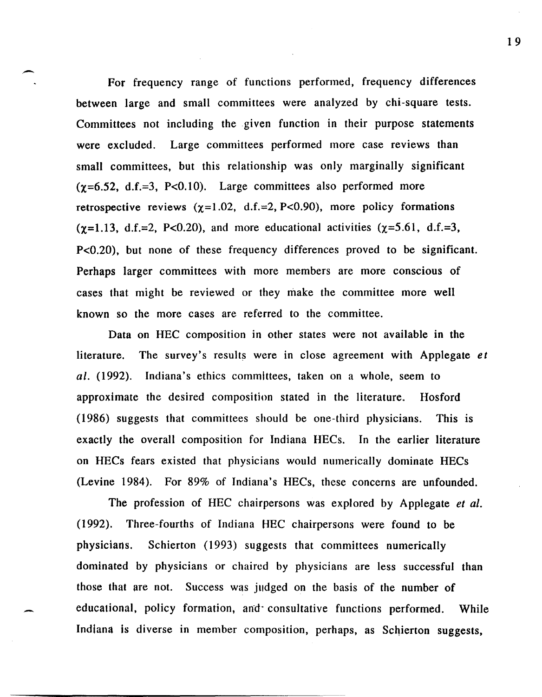For frequency range of functions performed, frequency differences between large and small committees were analyzed by chi-square tests. Committees not including the given function in their purpose statements were excluded. Large committees performed more case reviews than small committees, but this relationship was only marginally significant  $(\gamma=6.52, d.f.=3, P<0.10)$ . Large committees also performed more retrospective reviews  $(\gamma=1.02, d.f.=2, P<0.90)$ , more policy formations  $(\gamma=1.13, d.f.=2, P<0.20)$ , and more educational activities  $(\gamma=5.61, d.f.=3,$ P<0.20), but none of these frequency differences proved to be significant. Perhaps larger committees with more members are more conscious of cases that might be reviewed or they make the committee more well known so the more cases are referred to the committee.

Data on HEC composition in other states were not available in the literature. The survey's results were in close agreement with Applegate *et al.* (1992). Indiana's ethics committees, taken on a whole, seem to approximate the desired composition stated in the literature.. Hosford (1986) suggests that committees should be one-third physicians. This is exactly the overall composition for Indiana HECs. In the earlier literature on HECs fears existed that physicians would numerically dominate HECs (Levine 1984). For 89% of Indiana's HECs, these concerns are unfounded.

The profession of HEC chairpersons was explored by Applegate *et al.*  (1992). Three-fourths of Indiana HEC chairpersons were found to be physicians. Schierton (1993) suggests that committees numerically dominated by physicians or chaired by physicians are less successful than those that are not. Success was judged on the basis of the number of educational, policy formation, and consultative functions performed. While Indiana is diverse in member composition, perhaps, as Schierton suggests,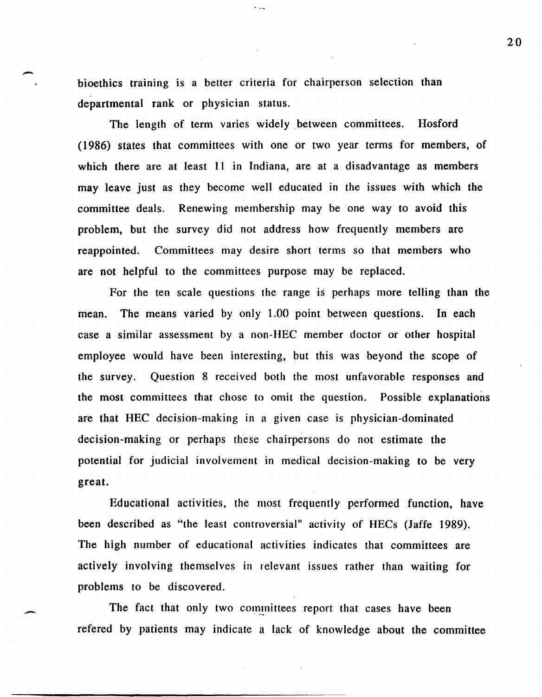bioethics training is a better criteria for chairperson selection than departmental rank or physician status.

 $\sim$   $\sim$ 

-

-

The length of term varies widely. between committees. Hosford (1986) states that committees with one or two year terms for members, of which there are at least 11 in Indiana, are at a disadvantage as members may leave just as they become well educated in the issues with which the committee deals. Renewing membership may be one way to avoid this problem, but the survey did not address how frequently members are reappointed. Committees may desire short terms so that members who are not helpful to the committees purpose may be replaced.

For the ten scale questions the range is perhaps more telling than the mean. The means varied by only 1.00 point between questions. In each case a similar assessment by a non-BEC member doctor or other hospital employee would have been interesting, but this was beyond the scope of the survey. Question 8 received both the most unfavorable responses and the most committees that chose to omit the question. Possible explanations are that HEC decision-making in a given case is physician-dominated decision-making or perhaps these chairpersons do not estimate the potential for judicial involvement in medical decision-making to be very great.

Educational activities, the most frequently performed function, have been described as "the least controversial" activity of HECs (Jaffe 1989). The high number of educational activities indicates that committees are actively involving themselves in relevant issues rather than waiting for problems to be discovered.

The fact that only two committees report that cases have been refered by patients may indicate a lack of knowledge about the committee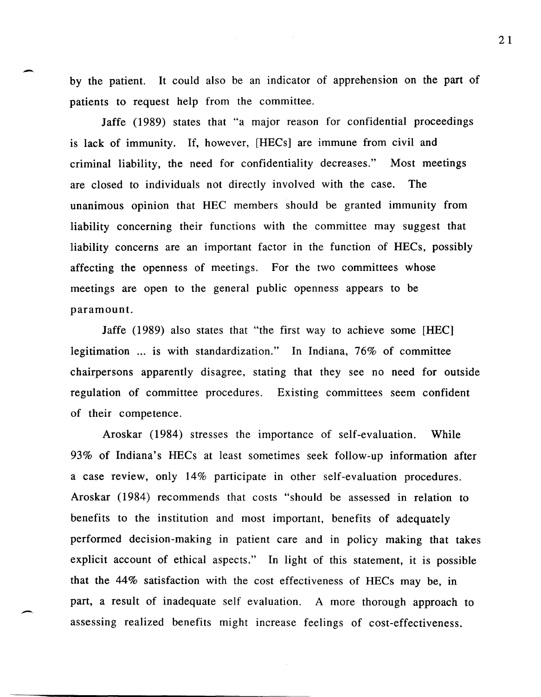by the patient. **It** could also be an indicator of apprehension on the part of patients to request help from the committee.

**-,** 

Jaffe (1989) states that "a major reason for confidential proceedings is lack of immunity. If, however, [HECs] are immune from civil and criminal liability, the need for confidentiality decreases." Most meetings are closed to individuals not directly involved with the case. The unanimous opinion that HEC members should be granted immunity from liability concerning their functions with the committee may suggest that liability concerns are an important factor in the function of HECs, possibly affecting the openness of meetings. For the two committees whose meetings are open to the general public openness appears to be paramount.

Jaffe (1989) also states that "the first way to achieve some [HEC] legitimation ... is with standardization." **In** Indiana, 76% of committee chairpersons apparently disagree, stating that they see no need for outside regulation of committee procedures. Existing committees seem confident of their competence.

Aroskar (1984) stresses the importance of self-evaluation. While 93% of Indiana's HECs at least sometimes seek follow-up information after a case review, only 14% participate in other self-evaluation procedures. Aroskar (1984) recommends that costs "should be assessed in relation to benefits to the institution and most important, benefits of adequately performed decision-making in patient care and in policy making that takes explicit account of ethical aspects." **In** light of this statement, it is possible that the 44% satisfaction with the cost effectiveness of HECs may be, in part, a result of inadequate self evaluation. A more thorough approach to assessing realized benefits might increase feelings of cost-effectiveness.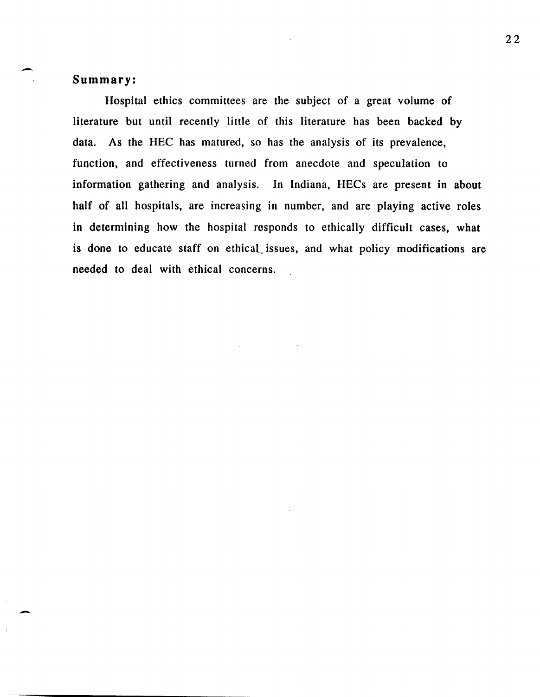# Summary:

-

-

Hospital ethics committees are the subject of a great volume of literature but until recently little of this literature has been backed by data. As the HEC has matured, so has the analysis of its prevalence, function, and effectiveness turned from anecdote and speculation to information gathering and analysis. In Indiana, HECs are present in about half of all hospitals, are increasing in number, and are playing active roles in determining how the hospital responds to ethically difficult cases, what is done to educate staff on ethical. issues, and what policy modifications are needed to deal with ethical concerns.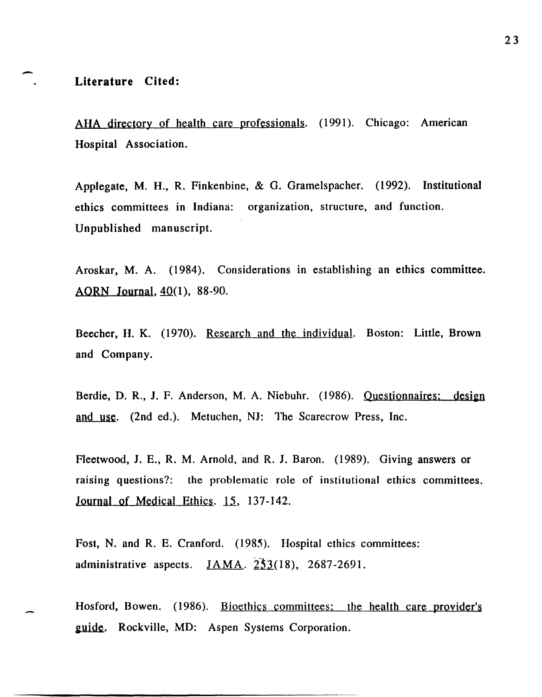## Literature Cited:

AHA directory of health care professionals. (1991). Chicago: American Hospital Association.

Applegate, M. H., R. Finkenbine, & G. Gramelspacher. (1992). Institutional ethics committees in Indiana: organization, structure, and function. Unpublished manuscript.

Aroskar, M. A. (1984). Considerations in establishing an ethics committee. ADRN Journal, 40(1), 88-90.

Beecher, H. K. (1970). Research and the individual. Boston: Little, Brown and Company.

Berdie, D. R., J. F. Anderson, M. A. Niebuhr. (1986). Questionnaires: design and use. (2nd ed.). Metuchen, NJ: The Scarecrow Press, Inc.

Fleetwood, J. E., R. M. Arnold, and R. J. Baron. (1989). Giving answers or raising questions?: the problematic role of institutional ethics committees. Journal of Medical Ethics. 15, 137-142.

Fost, N. and R. E. Cranford. (1985). Hospital ethics committees: administrative aspects.  $JAMA. 233(18)$ , 2687-2691.

Hosford, Bowen. (1986). Bioethics committees: the health care provider's guide. Rockville, MD: Aspen Systems Corporation.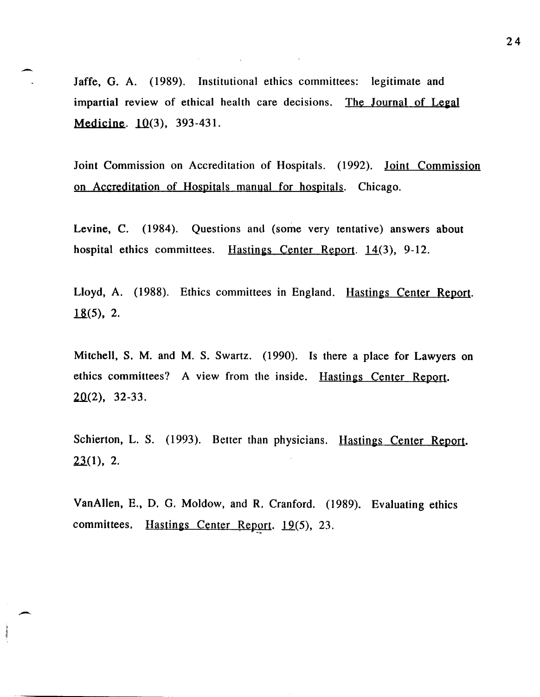Jaffe, G. A. (1989). Institutional ethics committees: legitimate and impartial review of ethical health care decisions. The Journal of Legal Medicine. 10(3), 393-431.

-

 $\overline{\phantom{0}}$ 

 $\frac{1}{2}$ 

Joint Commission on Accreditation of Hospitals. (1992). Joint Commission on Accreditation of Hospitals manual for hospitals. Chicago.

Levine, C. (1984). Questions and (some very tentative) answers about hospital ethics committees. Hastings Center Report. 14(3), 9-12.

Lloyd, A. (1988). Ethics committees in England. Hastings Center Report.  $18(5)$ , 2.

Mitchell, S. M. and M. S. Swartz. (1990). Is there a place for Lawyers on ethics committees? A view from the inside. Hastings Center Report.  $20(2)$ , 32-33.

Schierton, L. S. (1993). Better than physicians. Hastings Center Report. *U(1),* 2.

VanAllen, E., D. G. Moldow, and R. Cranford. (1989). Evaluating ethics committees. Hastings Center Report.  $19(5)$ , 23.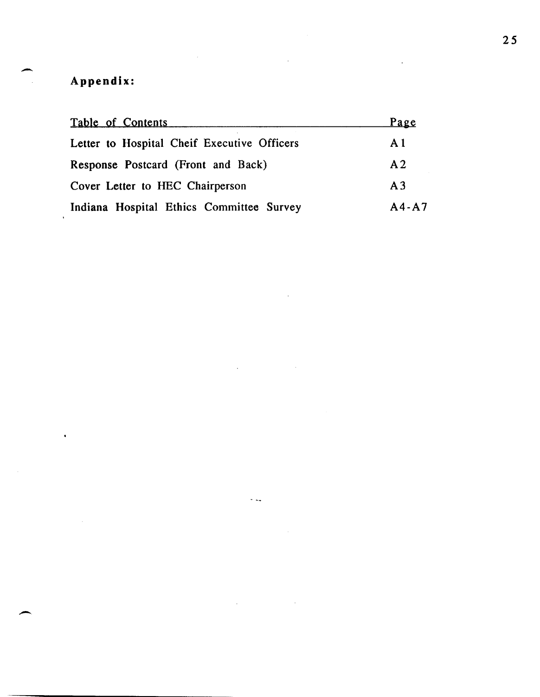# **Appendix:**

-

 $\overline{\phantom{a}}$ 

 $\hat{\bullet}$ 

| Table of Contents                           | Page           |
|---------------------------------------------|----------------|
| Letter to Hospital Cheif Executive Officers | A <sub>1</sub> |
| Response Postcard (Front and Back)          | A <sub>2</sub> |
| Cover Letter to HEC Chairperson             | A <sub>3</sub> |
| Indiana Hospital Ethics Committee Survey    | $A4 - A7$      |

 $\bar{\alpha}$ 

 $\sim$   $\sim$ 

 $\mathcal{L}^{\text{max}}_{\text{max}}$  and  $\mathcal{L}^{\text{max}}_{\text{max}}$ 

 $\mathcal{L}^{\text{max}}_{\text{max}}$  and  $\mathcal{L}^{\text{max}}_{\text{max}}$ 

 $\sim$  .

 $\label{eq:2.1} \frac{1}{\sqrt{2}}\int_{\mathbb{R}^3}\frac{1}{\sqrt{2}}\left(\frac{1}{\sqrt{2}}\right)^2\left(\frac{1}{\sqrt{2}}\right)^2\left(\frac{1}{\sqrt{2}}\right)^2\left(\frac{1}{\sqrt{2}}\right)^2\left(\frac{1}{\sqrt{2}}\right)^2\left(\frac{1}{\sqrt{2}}\right)^2.$ 

 $\mathcal{L}(\mathcal{L})$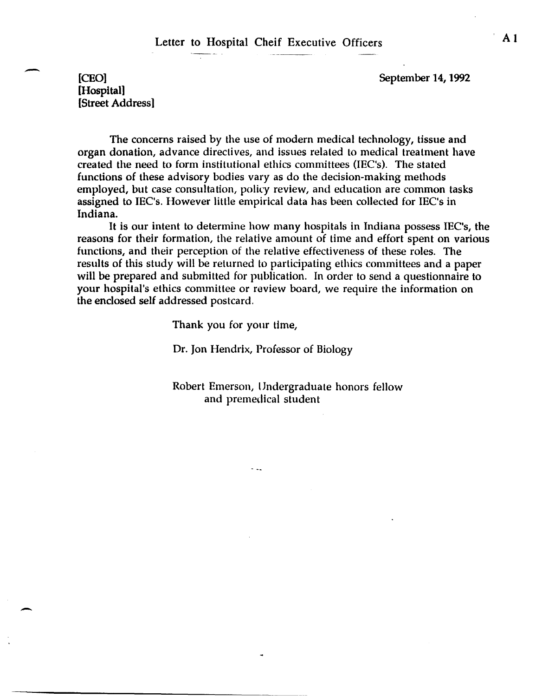September 14, 1992

[CEO] [Hospital] [Street Address]

-

-

The concerns raised by the use of modern medical technology, tissue and organ donation, advance directives, and issues related to medical treatment have created the need to form institutional ethics committees (lEC's). The stated functions of these advisory bodies vary as do the decision-making methods employed, but case consultation, policy review, and education are common tasks assigned to IEC's. However little empirical data has been collected for IEC's in Indiana.

It is our intent to determine how many hospitals in Indiana possess IEC's, the reasons for their formation, the relative amount of time and effort spent on various functions, and their perception of the relative effectiveness of these roles. The results of this study will be returned to participating ethics committees and a paper will be prepared and submitted for publication. In order to send a questionnaire to your hospital's ethics committee or review board, we require the information on the enclosed self addressed postcard.

Thank you for your time,

Dr. Jon Hendrix, Professor of Biology

Robert Emerson, Undergraduate honors fellow and premedical student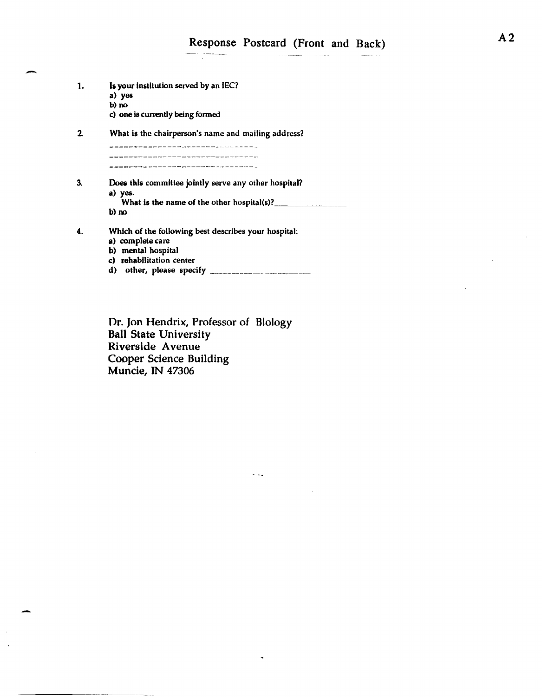| 1.           | Is your institution served by an IEC?<br>a) yes<br>b) no<br>c) one is currently being formed                                |
|--------------|-----------------------------------------------------------------------------------------------------------------------------|
| $\mathbf{2}$ | What is the chairperson's name and mailing address?                                                                         |
| 3.           | Does this committee jointly serve any other hospital?<br>a) yes.<br>What is the name of the other hospital( $s$ )?<br>b) no |
| 4.           | Which of the following best describes your hospital:<br>a) complete care<br>b) mental hospital<br>c) rehabilitation center  |

-

 $\ddot{\phantom{a}}$ 

Dr. Jon Hendrix, Professor of Biology Ball State University Riverside A venue Cooper Science Building Muncie, IN 47306

 $\sim$   $\omega_{\rm m}$ 

 $\ddot{\phantom{1}}$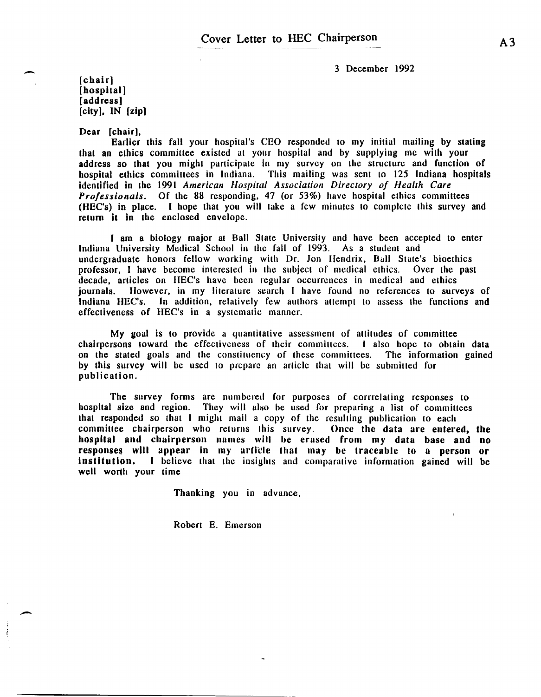3 December 1992

[chair] [hospital] [address] [city]. IN [zip]

-

 $\overline{\phantom{0}}$ 

Dear [chair].

Earlier this fall your hospital's CEO responded to my initial mailing by stating that an ethics committee existed at your hospital and by supplying me with your address so that you might participate In my survey on the structure and function of hospital ethics committees in Indiana. This mailing was sent to 125 Indiana hospitals identified in the 1991 American Hospital Association Directory of Health Care *Professionals.* Of the 88 responding. 47 (or 53%) have hospital elhics committees (HEC's) in place. I hope that you wiJI take a few minutes to complete this survey and return it in the enclosed envelope.

I am a biology major at Ball Slate University and have been accepted to enter Indiana University Medical School in the fall of 1993. As a student and undergraduate honors fellow working with Dr. Jon Hendrix, Ball Slate's bioethics professor, I have become interested in the subject of medical ethics. Over the past decade, articles on IIEC's have been regular occurrences in medical and ethics journals. However, in my literature search I have found no references to surveys of Indiana HEC's. In addition, relatively few authors attempt to assess the functions and effectiveness of HEC's in a systematic manner.

My goal is to provide a quantitative assessment of altitudes of committee chairpersons toward the effectiveness of their commillces. J also hope to obtain data on the stated goals and the constituency of these committees. The information gained by this survey will be used to prepare an article that will be submitted for publication.

The survey forms are numbered for purposes of corrrelating responses to hospital size and region. They will also be used for preparing a list of committees that responded so that I might mall a copy of the resulting publication to each committee chairperson who returns this survey. Once the data are entered, the hospital and chairperson names will be erased from my data base and no responses will appear in my arficle that may be traceable to a person or institution. I believe that the insights and comparative information gained will be I believe that the insights and comparative information gained will be well worth your time

Thanking you in advance.

Robert E. Emerson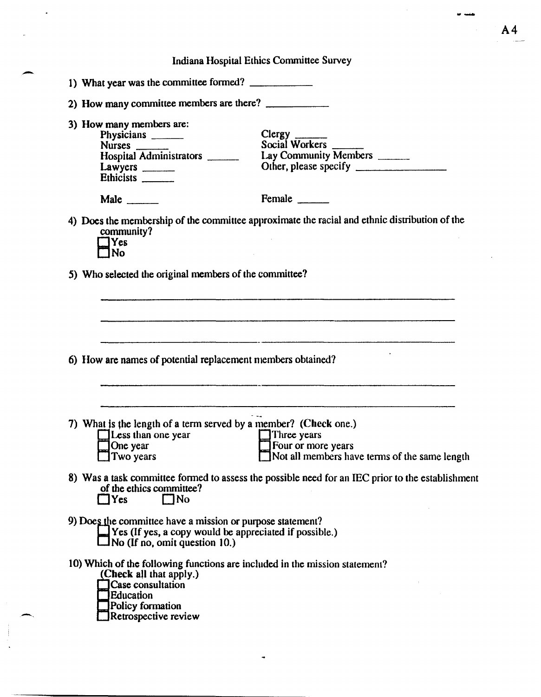|                                                                                                                                                                                           | Indiana Hospital Ethics Committee Survey                                                         |
|-------------------------------------------------------------------------------------------------------------------------------------------------------------------------------------------|--------------------------------------------------------------------------------------------------|
| 1) What year was the committee formed?                                                                                                                                                    |                                                                                                  |
| 2) How many committee members are there?                                                                                                                                                  |                                                                                                  |
| 3) How many members are:<br>Physicians ________<br>Nurses<br>Hospital Administrators<br>Lawyers $\frac{1}{\sqrt{1-\frac{1}{2}}\cdot\frac{1}{\sqrt{1-\frac{1}{2}}}}$<br>Ethicists ________ | Clergy<br>Social Workers<br>Lay Community Members                                                |
|                                                                                                                                                                                           | Female                                                                                           |
| community?<br>$\exists$ Yes<br><b>No</b>                                                                                                                                                  | 4) Does the membership of the committee approximate the racial and ethnic distribution of the    |
| 5) Who selected the original members of the committee?                                                                                                                                    |                                                                                                  |
| 6) How are names of potential replacement members obtained?                                                                                                                               |                                                                                                  |
| 7) What is the length of a term served by a member? (Check one.)<br>Less than one year                                                                                                    |                                                                                                  |
| $\Box$ One year<br>Two years                                                                                                                                                              | Three years<br>Four or more years<br>Not all members have terms of the same length               |
| of the ethics committee?<br>$\neg$ No<br>$\Box$ Yes                                                                                                                                       | 8) Was a task committee formed to assess the possible need for an IEC prior to the establishment |
| 9) Does the committee have a mission or purpose statement?<br>$\perp$ Yes (If yes, a copy would be appreciated if possible.)<br>$\Box$ No (If no, omit question 10.)                      |                                                                                                  |
|                                                                                                                                                                                           |                                                                                                  |

 $\overline{\phantom{0}}$ 

 $AA$ 

"' ....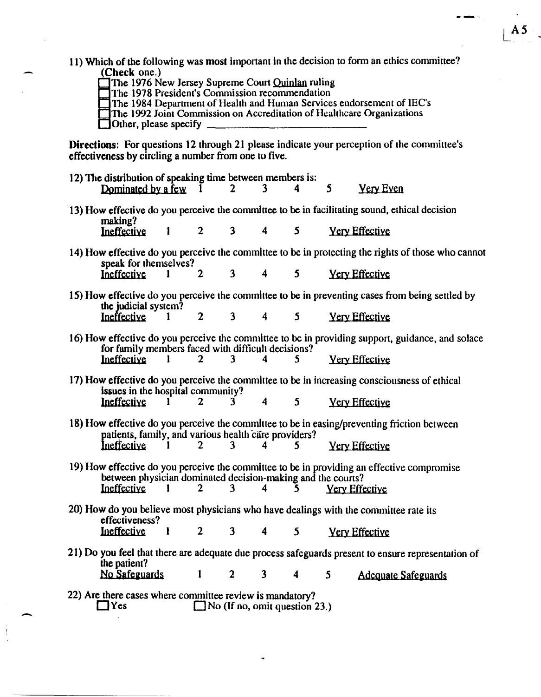- 11) Which of the following was most important in the decision to form an ethics committee? (Check one.)
	- The 1976 New Jersey Supreme Court Ouinlan ruling
	- The 1978 President's Commission recommendation
	- The 1984 Department of Health and Human Services endorsement of IEC's
	- TIle 1992 Joint Commission on Accreditation of Heahhcare Organizations Other, please specify \_\_\_\_\_\_\_\_\_\_\_\_ \_
	-

Directions: For questions 12 through 21 please indicate your perception of the committee's effectiveness by circling a number from one to five.

- 12) The distribution of speaking time between members is:<br>Dominated by a few  $\begin{array}{ccc} 1 & 2 & 3 & 4 \end{array}$ Dominated by a few  $\overline{1}$  2 3 4 5 Yery Eyen
- 13) How effective do you perceive the committee to be in facilitating sound, ethical decision making?<br>Ineffective  $1 \t2 \t3 \t4 \t5 \tVerify$  Effective
- 14) How effective do you perceive the committee to be in protecting the rights of those who cannot speak for themselves?

| Ineffective |  |  |  |  |  | <b>Yery Effective</b> |
|-------------|--|--|--|--|--|-----------------------|
|-------------|--|--|--|--|--|-----------------------|

- 15) How effective do you perceive the committee to be in preventing cases from being settled by the judicial system?<br>Ineffective 1 2 3 4 5 Yery Effective
- 16) How effective do you perceive the commlttee to be in providing support, guidance, and solace for family members faced with difficult decisions?<br>Ineffective  $\begin{array}{ccc} 1 & 2 & 3 & 4 & 5 \end{array}$ **Yery Effective**
- 17) How effective do you perceive the committee to be in increasing consciousness of ethical issues in the hospital community?<br>Ineffective  $\begin{array}{ccc} 1 & 2 & 3 \end{array}$  $3 \t 4 \t 5 \t \t 2$  Yery Effective
- 18) How effective do you perceive the committee to be in easing/preventing friction between patients, family, and various health care providers?<br>Ineffective 1 2 3 4 5 **Yery Effective**
- 19) How effective do you perceive the committee to be in providing an effective compromise between physician dominated decision-making and the courts?<br>Ineffective 1 2 3 4 5 Very Effe **Yery Effective**
- 20) How do you believe most physicians who have dealings with the committee rate its effectiveness?<br>Ineffective  $1 \t2 \t3 \t4 \t5 \t  
Verify 2$
- 21) Do you feel that there are adequate due process safeguards present to ensure representation of the patient?<br>No Safeguards 1 2 3 4 5 Adequate Safeguards
- 22) Are there cases where committee review is mandatory?<br> $\Box$  Yes  $\Box$  No (If no, omit question)  $\Box$  No (If no, omit question 23.)

 $A5$ 

.........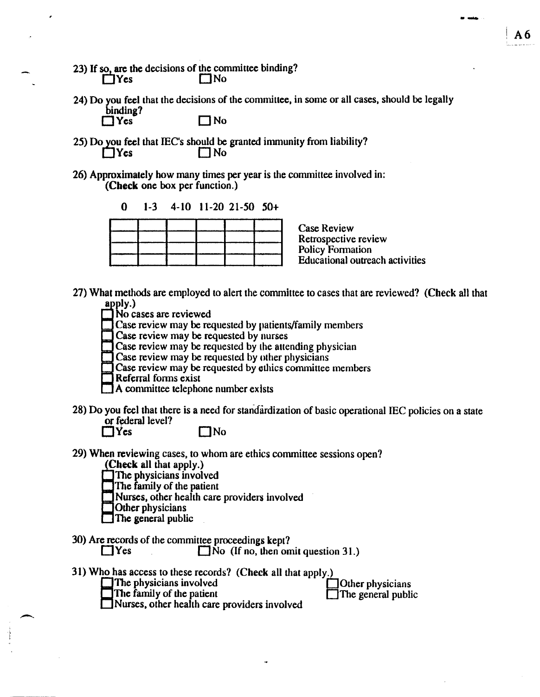- 23) If so, are the decisions of the committee binding?<br> $\Box$ No  $\square$ No
- 24) Do you feel that the decisions of the committee, in some or all cases, should be legally binding?  $\Box$  Yes  $\Box$  No
- 25) Do you feel that IEC's should be granted immunity from liability?<br> $\Box$  Yes  $\Box$  No  $\Box$ Yes
- 26) Approximately how many times per year is the committee involved in: (Check one box per function.)
	- o 1-3 4-10 11-20 21-50 50+

Case Review Retrospective review Policy Formation Educational outreach activities

27) What methods are employed to alert the committee to cases that are reviewed? (Check all that apply.)

No cases are reviewed

Case review may be requested by nations/family members

Case review may be requested by nurses

Case review may be requested by the attending physician

Case review may be requested by other physicians

- Case review may be requested by ethics committee members
- Referral fonns exist
- A committee telephone number exists
- 28) Do you feel that there is a need for standardization of basic operational IEC policies on a state or federal level?

 $\Box$ Yes  $\Box$ No

- 29) When reviewing cases, to whom are ethics committee sessions open?
	- (Check all that apply.)
	- The physicians involved
	- The family of the patient
	- Nurses. other health care providers involved
	- Other physicians
	- $\Box$  The general public
- 30) Are records of the committee proceedings kept?<br> $\Box$  Yes  $\Box$  No (If no, then on

 $\Box$  No (If no, then omit question 31.)

- 31) Who has access to these records? (Check all that apply.)<br>
The physicians involved  $\Box$  Other physicians
	-

The physicians involved<br>
The family of the patient<br>
Nurses, other health care providers involved

The family of the patient  $\Box$  The general public

**--**